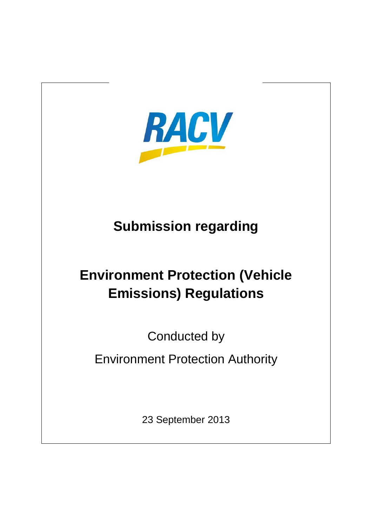

## **Submission regarding**

# **Environment Protection (Vehicle Emissions) Regulations**

Conducted by

Environment Protection Authority

23 September 2013